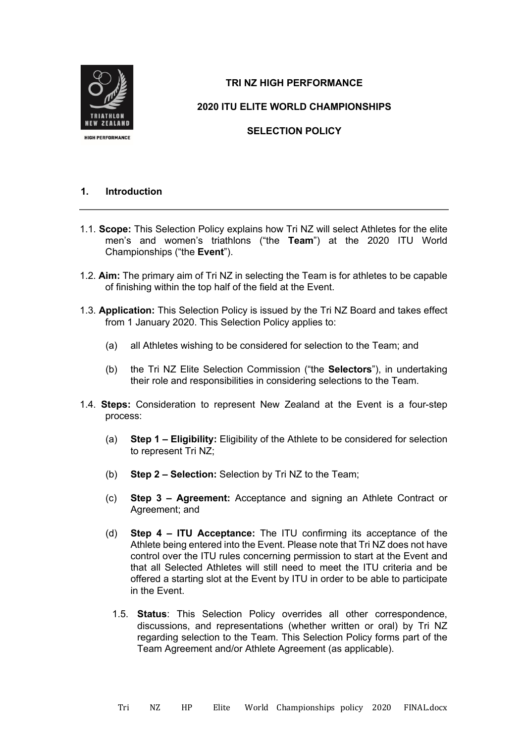

# **TRI NZ HIGH PERFORMANCE**

**2020 ITU ELITE WORLD CHAMPIONSHIPS**

**SELECTION POLICY** 

# **1. Introduction**

- 1.1. **Scope:** This Selection Policy explains how Tri NZ will select Athletes for the elite men's and women's triathlons ("the **Team**") at the 2020 ITU World Championships ("the **Event**").
- 1.2. **Aim:** The primary aim of Tri NZ in selecting the Team is for athletes to be capable of finishing within the top half of the field at the Event.
- 1.3. **Application:** This Selection Policy is issued by the Tri NZ Board and takes effect from 1 January 2020. This Selection Policy applies to:
	- (a) all Athletes wishing to be considered for selection to the Team; and
	- (b) the Tri NZ Elite Selection Commission ("the **Selectors**"), in undertaking their role and responsibilities in considering selections to the Team.
- 1.4. **Steps:** Consideration to represent New Zealand at the Event is a four-step process:
	- (a) **Step 1 – Eligibility:** Eligibility of the Athlete to be considered for selection to represent Tri NZ;
	- (b) **Step 2 – Selection:** Selection by Tri NZ to the Team;
	- (c) **Step 3 – Agreement:** Acceptance and signing an Athlete Contract or Agreement; and
	- (d) **Step 4 – ITU Acceptance:** The ITU confirming its acceptance of the Athlete being entered into the Event. Please note that Tri NZ does not have control over the ITU rules concerning permission to start at the Event and that all Selected Athletes will still need to meet the ITU criteria and be offered a starting slot at the Event by ITU in order to be able to participate in the Event.
		- 1.5. **Status**: This Selection Policy overrides all other correspondence, discussions, and representations (whether written or oral) by Tri NZ regarding selection to the Team. This Selection Policy forms part of the Team Agreement and/or Athlete Agreement (as applicable).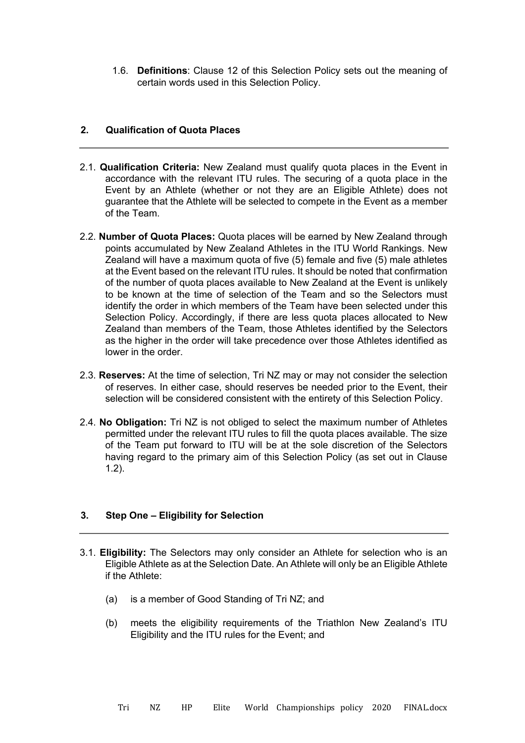1.6. **Definitions**: Clause 12 of this Selection Policy sets out the meaning of certain words used in this Selection Policy.

#### **2. Qualification of Quota Places**

- 2.1. **Qualification Criteria:** New Zealand must qualify quota places in the Event in accordance with the relevant ITU rules. The securing of a quota place in the Event by an Athlete (whether or not they are an Eligible Athlete) does not guarantee that the Athlete will be selected to compete in the Event as a member of the Team.
- 2.2. **Number of Quota Places:** Quota places will be earned by New Zealand through points accumulated by New Zealand Athletes in the ITU World Rankings. New Zealand will have a maximum quota of five (5) female and five (5) male athletes at the Event based on the relevant ITU rules. It should be noted that confirmation of the number of quota places available to New Zealand at the Event is unlikely to be known at the time of selection of the Team and so the Selectors must identify the order in which members of the Team have been selected under this Selection Policy. Accordingly, if there are less quota places allocated to New Zealand than members of the Team, those Athletes identified by the Selectors as the higher in the order will take precedence over those Athletes identified as lower in the order.
- 2.3. **Reserves:** At the time of selection, Tri NZ may or may not consider the selection of reserves. In either case, should reserves be needed prior to the Event, their selection will be considered consistent with the entirety of this Selection Policy.
- 2.4. **No Obligation:** Tri NZ is not obliged to select the maximum number of Athletes permitted under the relevant ITU rules to fill the quota places available. The size of the Team put forward to ITU will be at the sole discretion of the Selectors having regard to the primary aim of this Selection Policy (as set out in Clause 1.2).

# **3. Step One – Eligibility for Selection**

- 3.1. **Eligibility:** The Selectors may only consider an Athlete for selection who is an Eligible Athlete as at the Selection Date. An Athlete will only be an Eligible Athlete if the Athlete:
	- (a) is a member of Good Standing of Tri NZ; and
	- (b) meets the eligibility requirements of the Triathlon New Zealand's ITU Eligibility and the ITU rules for the Event; and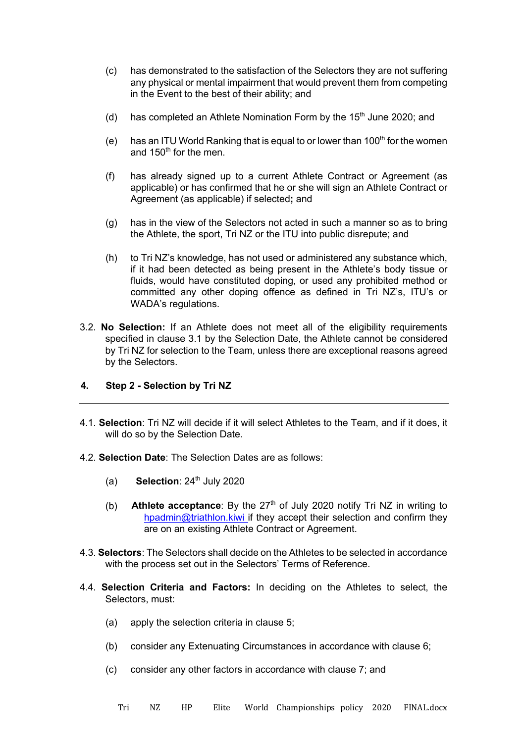- (c) has demonstrated to the satisfaction of the Selectors they are not suffering any physical or mental impairment that would prevent them from competing in the Event to the best of their ability; and
- (d) has completed an Athlete Nomination Form by the  $15<sup>th</sup>$  June 2020; and
- (e) has an ITU World Ranking that is equal to or lower than  $100<sup>th</sup>$  for the women and  $150<sup>th</sup>$  for the men.
- (f) has already signed up to a current Athlete Contract or Agreement (as applicable) or has confirmed that he or she will sign an Athlete Contract or Agreement (as applicable) if selected**;** and
- (g) has in the view of the Selectors not acted in such a manner so as to bring the Athlete, the sport, Tri NZ or the ITU into public disrepute; and
- (h) to Tri NZ's knowledge, has not used or administered any substance which, if it had been detected as being present in the Athlete's body tissue or fluids, would have constituted doping, or used any prohibited method or committed any other doping offence as defined in Tri NZ's, ITU's or WADA's regulations.
- 3.2. **No Selection:** If an Athlete does not meet all of the eligibility requirements specified in clause 3.1 by the Selection Date, the Athlete cannot be considered by Tri NZ for selection to the Team, unless there are exceptional reasons agreed by the Selectors.

# **4. Step 2 - Selection by Tri NZ**

- 4.1. **Selection**: Tri NZ will decide if it will select Athletes to the Team, and if it does, it will do so by the Selection Date.
- 4.2. **Selection Date**: The Selection Dates are as follows:
	- $(a)$  **Selection**:  $24<sup>th</sup>$  July 2020
	- Athlete acceptance: By the 27<sup>th</sup> of July 2020 notify Tri NZ in writing to hpadmin@triathlon.kiwi if they accept their selection and confirm they are on an existing Athlete Contract or Agreement. (b)
- 4.3. **Selectors**: The Selectors shall decide on the Athletes to be selected in accordance with the process set out in the Selectors' Terms of Reference.
- 4.4. **Selection Criteria and Factors:** In deciding on the Athletes to select, the Selectors, must:
	- (a) apply the selection criteria in clause 5;
	- (b) consider any Extenuating Circumstances in accordance with clause 6;
	- (c) consider any other factors in accordance with clause 7; and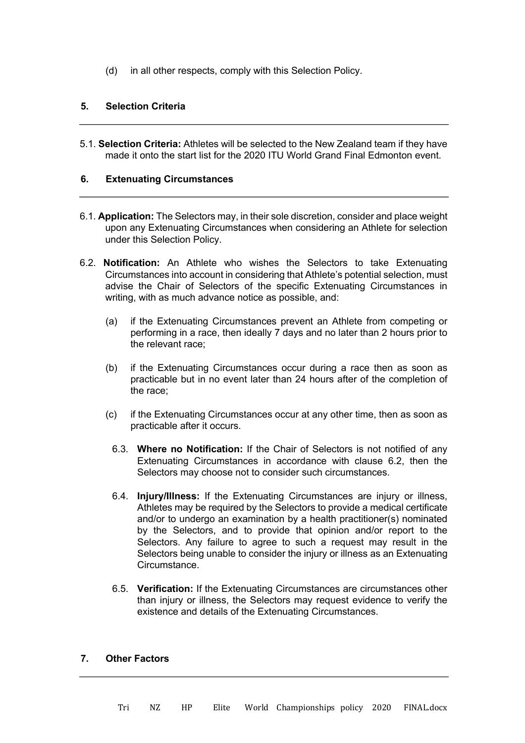(d) in all other respects, comply with this Selection Policy.

### **5. Selection Criteria**

5.1. **Selection Criteria:** Athletes will be selected to the New Zealand team if they have made it onto the start list for the 2020 ITU World Grand Final Edmonton event.

#### **6. Extenuating Circumstances**

- 6.1. **Application:** The Selectors may, in their sole discretion, consider and place weight upon any Extenuating Circumstances when considering an Athlete for selection under this Selection Policy.
- 6.2. **Notification:** An Athlete who wishes the Selectors to take Extenuating Circumstances into account in considering that Athlete's potential selection, must advise the Chair of Selectors of the specific Extenuating Circumstances in writing, with as much advance notice as possible, and:
	- (a) if the Extenuating Circumstances prevent an Athlete from competing or performing in a race, then ideally 7 days and no later than 2 hours prior to the relevant race;
	- (b) if the Extenuating Circumstances occur during a race then as soon as practicable but in no event later than 24 hours after of the completion of the race;
	- (c) if the Extenuating Circumstances occur at any other time, then as soon as practicable after it occurs.
		- 6.3. **Where no Notification:** If the Chair of Selectors is not notified of any Extenuating Circumstances in accordance with clause 6.2, then the Selectors may choose not to consider such circumstances.
		- 6.4. **Injury/Illness:** If the Extenuating Circumstances are injury or illness, Athletes may be required by the Selectors to provide a medical certificate and/or to undergo an examination by a health practitioner(s) nominated by the Selectors, and to provide that opinion and/or report to the Selectors. Any failure to agree to such a request may result in the Selectors being unable to consider the injury or illness as an Extenuating Circumstance.
		- 6.5. **Verification:** If the Extenuating Circumstances are circumstances other than injury or illness, the Selectors may request evidence to verify the existence and details of the Extenuating Circumstances.

# **7. Other Factors**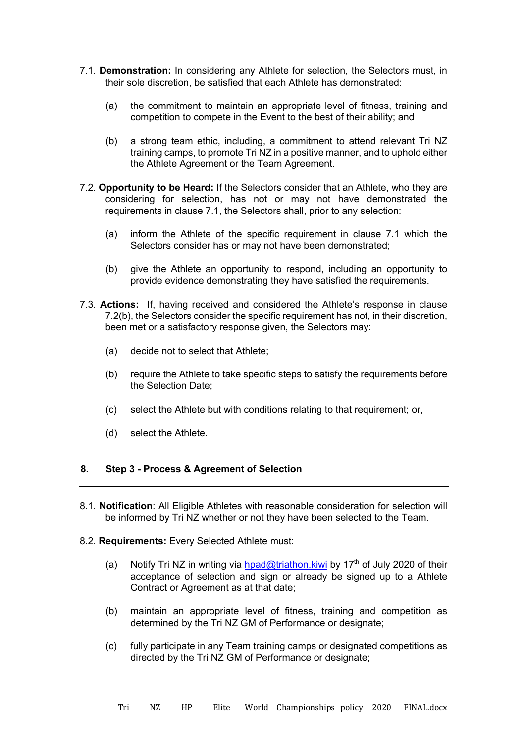- 7.1. **Demonstration:** In considering any Athlete for selection, the Selectors must, in their sole discretion, be satisfied that each Athlete has demonstrated:
	- (a) the commitment to maintain an appropriate level of fitness, training and competition to compete in the Event to the best of their ability; and
	- (b) a strong team ethic, including, a commitment to attend relevant Tri NZ training camps, to promote Tri NZ in a positive manner, and to uphold either the Athlete Agreement or the Team Agreement.
- 7.2. **Opportunity to be Heard:** If the Selectors consider that an Athlete, who they are considering for selection, has not or may not have demonstrated the requirements in clause 7.1, the Selectors shall, prior to any selection:
	- (a) inform the Athlete of the specific requirement in clause 7.1 which the Selectors consider has or may not have been demonstrated;
	- (b) give the Athlete an opportunity to respond, including an opportunity to provide evidence demonstrating they have satisfied the requirements.
- 7.3. **Actions:** If, having received and considered the Athlete's response in clause 7.2(b), the Selectors consider the specific requirement has not, in their discretion, been met or a satisfactory response given, the Selectors may:
	- (a) decide not to select that Athlete;
	- (b) require the Athlete to take specific steps to satisfy the requirements before the Selection Date;
	- (c) select the Athlete but with conditions relating to that requirement; or,
	- (d) select the Athlete.

#### **8. Step 3 - Process & Agreement of Selection**

- 8.1. **Notification**: All Eligible Athletes with reasonable consideration for selection will be informed by Tri NZ whether or not they have been selected to the Team.
- 8.2. **Requirements:** Every Selected Athlete must:
	- (a) Notify Tri NZ in writing via hpad@triathon.kiwi by 17<sup>th</sup> of July 2020 of their acceptance of selection and sign or already be signed up to a Athlete Contract or Agreement as at that date;
	- (b) maintain an appropriate level of fitness, training and competition as determined by the Tri NZ GM of Performance or designate;
	- (c) fully participate in any Team training camps or designated competitions as directed by the Tri NZ GM of Performance or designate;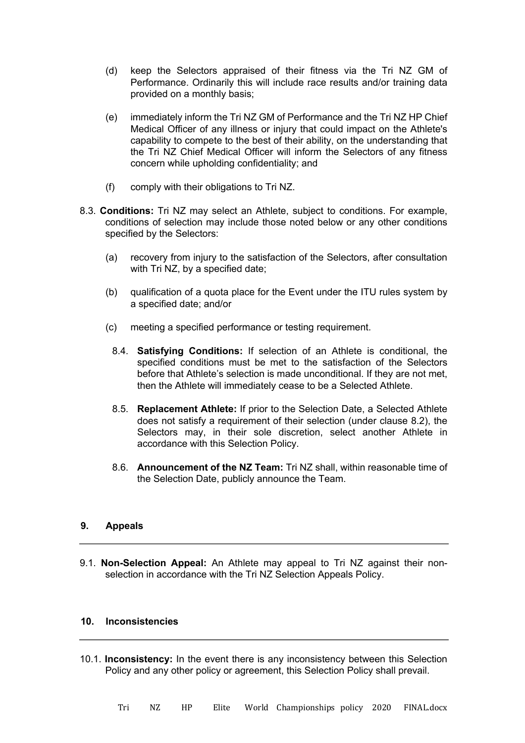- (d) keep the Selectors appraised of their fitness via the Tri NZ GM of Performance. Ordinarily this will include race results and/or training data provided on a monthly basis;
- (e) immediately inform the Tri NZ GM of Performance and the Tri NZ HP Chief Medical Officer of any illness or injury that could impact on the Athlete's capability to compete to the best of their ability, on the understanding that the Tri NZ Chief Medical Officer will inform the Selectors of any fitness concern while upholding confidentiality; and
- (f) comply with their obligations to Tri NZ.
- 8.3. **Conditions:** Tri NZ may select an Athlete, subject to conditions. For example, conditions of selection may include those noted below or any other conditions specified by the Selectors:
	- (a) recovery from injury to the satisfaction of the Selectors, after consultation with Tri NZ, by a specified date:
	- (b) qualification of a quota place for the Event under the ITU rules system by a specified date; and/or
	- (c) meeting a specified performance or testing requirement.
		- 8.4. **Satisfying Conditions:** If selection of an Athlete is conditional, the specified conditions must be met to the satisfaction of the Selectors before that Athlete's selection is made unconditional. If they are not met, then the Athlete will immediately cease to be a Selected Athlete.
		- 8.5. **Replacement Athlete:** If prior to the Selection Date, a Selected Athlete does not satisfy a requirement of their selection (under clause 8.2), the Selectors may, in their sole discretion, select another Athlete in accordance with this Selection Policy.
		- 8.6. **Announcement of the NZ Team:** Tri NZ shall, within reasonable time of the Selection Date, publicly announce the Team.

# **9. Appeals**

9.1. **Non-Selection Appeal:** An Athlete may appeal to Tri NZ against their nonselection in accordance with the Tri NZ Selection Appeals Policy.

### **10. Inconsistencies**

10.1. **Inconsistency:** In the event there is any inconsistency between this Selection Policy and any other policy or agreement, this Selection Policy shall prevail.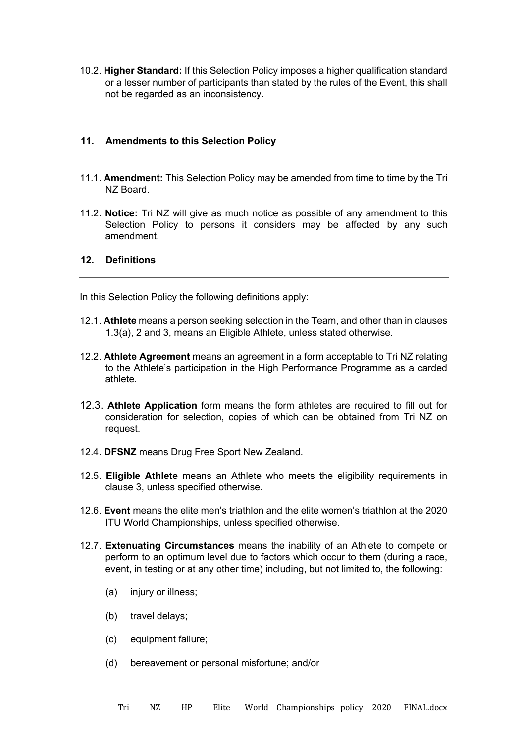10.2. **Higher Standard:** If this Selection Policy imposes a higher qualification standard or a lesser number of participants than stated by the rules of the Event, this shall not be regarded as an inconsistency.

#### **11. Amendments to this Selection Policy**

- 11.1. **Amendment:** This Selection Policy may be amended from time to time by the Tri NZ Board.
- 11.2. **Notice:** Tri NZ will give as much notice as possible of any amendment to this Selection Policy to persons it considers may be affected by any such amendment.

#### **12. Definitions**

In this Selection Policy the following definitions apply:

- 12.1. **Athlete** means a person seeking selection in the Team, and other than in clauses 1.3(a), 2 and 3, means an Eligible Athlete, unless stated otherwise.
- 12.2. **Athlete Agreement** means an agreement in a form acceptable to Tri NZ relating to the Athlete's participation in the High Performance Programme as a carded athlete.
- 12.3. **Athlete Application** form means the form athletes are required to fill out for consideration for selection, copies of which can be obtained from Tri NZ on request.
- 12.4. **DFSNZ** means Drug Free Sport New Zealand.
- 12.5. **Eligible Athlete** means an Athlete who meets the eligibility requirements in clause 3, unless specified otherwise.
- 12.6. **Event** means the elite men's triathlon and the elite women's triathlon at the 2020 ITU World Championships, unless specified otherwise.
- 12.7. **Extenuating Circumstances** means the inability of an Athlete to compete or perform to an optimum level due to factors which occur to them (during a race, event, in testing or at any other time) including, but not limited to, the following:
	- (a) injury or illness;
	- (b) travel delays;
	- (c) equipment failure;
	- (d) bereavement or personal misfortune; and/or